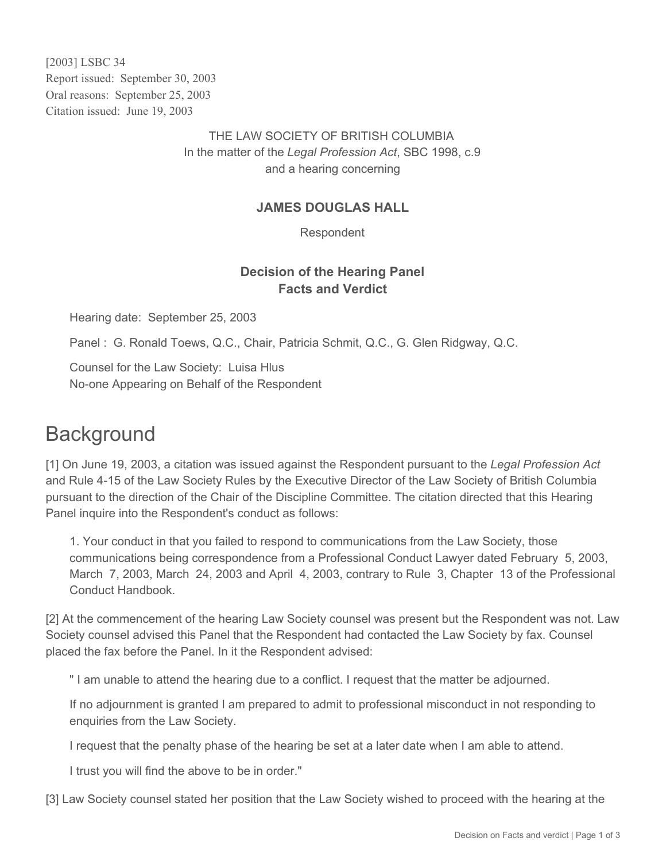[2003] LSBC 34 Report issued: September 30, 2003 Oral reasons: September 25, 2003 Citation issued: June 19, 2003

> THE LAW SOCIETY OF BRITISH COLUMBIA In the matter of the *Legal Profession Act*, SBC 1998, c.9 and a hearing concerning

## **JAMES DOUGLAS HALL**

Respondent

## **Decision of the Hearing Panel Facts and Verdict**

Hearing date: September 25, 2003

Panel : G. Ronald Toews, Q.C., Chair, Patricia Schmit, Q.C., G. Glen Ridgway, Q.C.

Counsel for the Law Society: Luisa Hlus No-one Appearing on Behalf of the Respondent

## **Background**

[1] On June 19, 2003, a citation was issued against the Respondent pursuant to the *Legal Profession Act* and Rule 4-15 of the Law Society Rules by the Executive Director of the Law Society of British Columbia pursuant to the direction of the Chair of the Discipline Committee. The citation directed that this Hearing Panel inquire into the Respondent's conduct as follows:

1. Your conduct in that you failed to respond to communications from the Law Society, those communications being correspondence from a Professional Conduct Lawyer dated February 5, 2003, March 7, 2003, March 24, 2003 and April 4, 2003, contrary to Rule 3, Chapter 13 of the Professional Conduct Handbook.

[2] At the commencement of the hearing Law Society counsel was present but the Respondent was not. Law Society counsel advised this Panel that the Respondent had contacted the Law Society by fax. Counsel placed the fax before the Panel. In it the Respondent advised:

" I am unable to attend the hearing due to a conflict. I request that the matter be adjourned.

If no adjournment is granted I am prepared to admit to professional misconduct in not responding to enquiries from the Law Society.

I request that the penalty phase of the hearing be set at a later date when I am able to attend.

I trust you will find the above to be in order."

[3] Law Society counsel stated her position that the Law Society wished to proceed with the hearing at the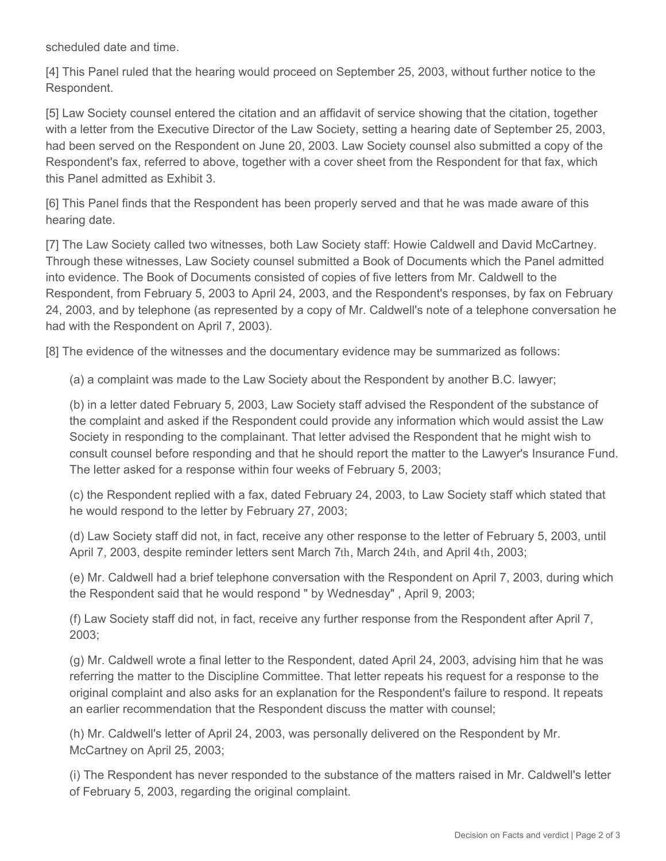scheduled date and time.

[4] This Panel ruled that the hearing would proceed on September 25, 2003, without further notice to the Respondent.

[5] Law Society counsel entered the citation and an affidavit of service showing that the citation, together with a letter from the Executive Director of the Law Society, setting a hearing date of September 25, 2003, had been served on the Respondent on June 20, 2003. Law Society counsel also submitted a copy of the Respondent's fax, referred to above, together with a cover sheet from the Respondent for that fax, which this Panel admitted as Exhibit 3.

[6] This Panel finds that the Respondent has been properly served and that he was made aware of this hearing date.

[7] The Law Society called two witnesses, both Law Society staff: Howie Caldwell and David McCartney. Through these witnesses, Law Society counsel submitted a Book of Documents which the Panel admitted into evidence. The Book of Documents consisted of copies of five letters from Mr. Caldwell to the Respondent, from February 5, 2003 to April 24, 2003, and the Respondent's responses, by fax on February 24, 2003, and by telephone (as represented by a copy of Mr. Caldwell's note of a telephone conversation he had with the Respondent on April 7, 2003).

[8] The evidence of the witnesses and the documentary evidence may be summarized as follows:

(a) a complaint was made to the Law Society about the Respondent by another B.C. lawyer;

(b) in a letter dated February 5, 2003, Law Society staff advised the Respondent of the substance of the complaint and asked if the Respondent could provide any information which would assist the Law Society in responding to the complainant. That letter advised the Respondent that he might wish to consult counsel before responding and that he should report the matter to the Lawyer's Insurance Fund. The letter asked for a response within four weeks of February 5, 2003;

(c) the Respondent replied with a fax, dated February 24, 2003, to Law Society staff which stated that he would respond to the letter by February 27, 2003;

(d) Law Society staff did not, in fact, receive any other response to the letter of February 5, 2003, until April 7, 2003, despite reminder letters sent March 7th, March 24th, and April 4th, 2003;

(e) Mr. Caldwell had a brief telephone conversation with the Respondent on April 7, 2003, during which the Respondent said that he would respond " by Wednesday" , April 9, 2003;

(f) Law Society staff did not, in fact, receive any further response from the Respondent after April 7, 2003;

(g) Mr. Caldwell wrote a final letter to the Respondent, dated April 24, 2003, advising him that he was referring the matter to the Discipline Committee. That letter repeats his request for a response to the original complaint and also asks for an explanation for the Respondent's failure to respond. It repeats an earlier recommendation that the Respondent discuss the matter with counsel;

(h) Mr. Caldwell's letter of April 24, 2003, was personally delivered on the Respondent by Mr. McCartney on April 25, 2003;

(i) The Respondent has never responded to the substance of the matters raised in Mr. Caldwell's letter of February 5, 2003, regarding the original complaint.